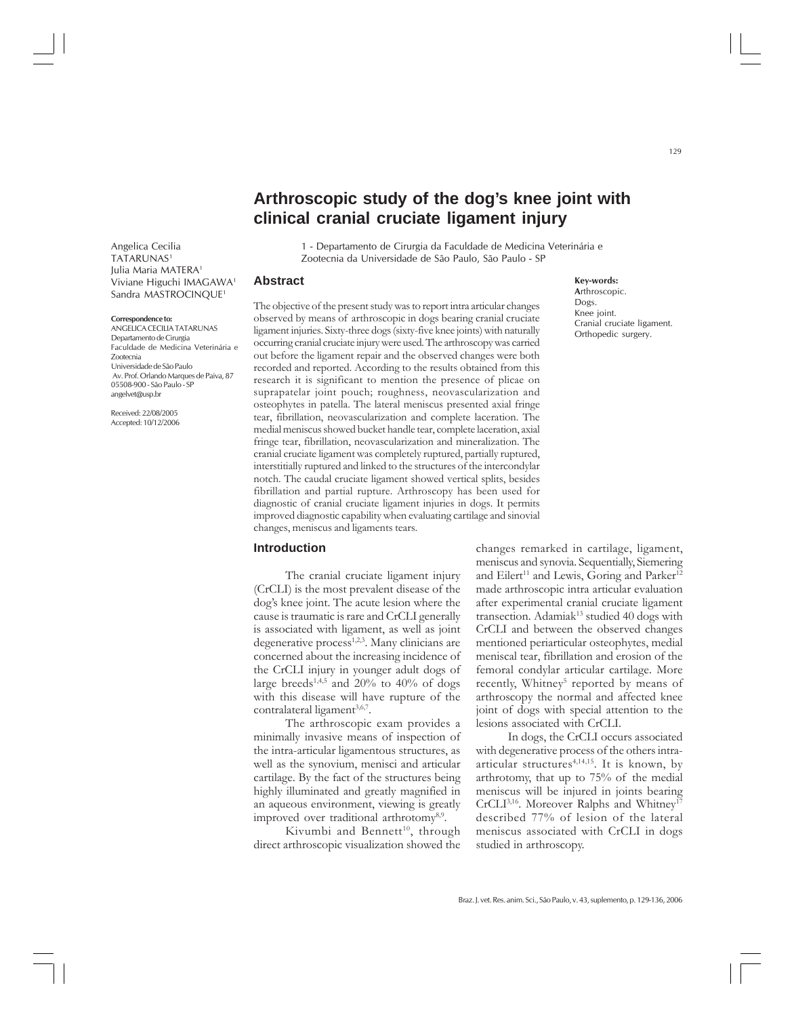# **Arthroscopic study of the dog's knee joint with clinical cranial cruciate ligament injury**

Angelica Cecilia TATARUNAS1 Julia Maria MATERA1 Viviane Higuchi IMAGAWA1 Sandra MASTROCINQUE1

#### **Correspondence to:**

ANGELICA CECILIA TATARUNAS Departamento de Cirurgia Faculdade de Medicina Veterinária e Zootecnia Universidade de São Paulo Av. Prof. Orlando Marques de Paiva, 87 05508-900 - São Paulo - SP angelvet@usp.br

Received: 22/08/2005 Accepted: 10/12/2006

1 - Departamento de Cirurgia da Faculdade de Medicina Veterinária e Zootecnia da Universidade de São Paulo, São Paulo - SP

### **Abstract**

The objective of the present study was to report intra articular changes observed by means of arthroscopic in dogs bearing cranial cruciate ligament injuries. Sixty-three dogs (sixty-five knee joints) with naturally occurring cranial cruciate injury were used. The arthroscopy was carried out before the ligament repair and the observed changes were both recorded and reported. According to the results obtained from this research it is significant to mention the presence of plicae on suprapatelar joint pouch; roughness, neovascularization and osteophytes in patella. The lateral meniscus presented axial fringe tear, fibrillation, neovascularization and complete laceration. The medial meniscus showed bucket handle tear, complete laceration, axial fringe tear, fibrillation, neovascularization and mineralization. The cranial cruciate ligament was completely ruptured, partially ruptured, interstitially ruptured and linked to the structures of the intercondylar notch. The caudal cruciate ligament showed vertical splits, besides fibrillation and partial rupture. Arthroscopy has been used for diagnostic of cranial cruciate ligament injuries in dogs. It permits improved diagnostic capability when evaluating cartilage and sinovial changes, meniscus and ligaments tears.

### **Introduction**

The cranial cruciate ligament injury (CrCLI) is the most prevalent disease of the dog's knee joint. The acute lesion where the cause is traumatic is rare and CrCLI generally is associated with ligament, as well as joint degenerative process<sup>1,2,3</sup>. Many clinicians are concerned about the increasing incidence of the CrCLI injury in younger adult dogs of large breeds<sup>1,4,5</sup> and 20% to 40% of dogs with this disease will have rupture of the contralateral ligament $3,6,7$ .

The arthroscopic exam provides a minimally invasive means of inspection of the intra-articular ligamentous structures, as well as the synovium, menisci and articular cartilage. By the fact of the structures being highly illuminated and greatly magnified in an aqueous environment, viewing is greatly improved over traditional arthrotomy<sup>8,9</sup>.

Kivumbi and Bennett<sup>10</sup>, through direct arthroscopic visualization showed the

### **Key-words:**

**A**rthroscopic. Dogs. Knee joint. Cranial cruciate ligament. Orthopedic surgery.

changes remarked in cartilage, ligament, meniscus and synovia. Sequentially, Siemering and Eilert<sup>11</sup> and Lewis, Goring and Parker<sup>12</sup> made arthroscopic intra articular evaluation after experimental cranial cruciate ligament transection. Adamiak<sup>13</sup> studied 40 dogs with CrCLI and between the observed changes mentioned periarticular osteophytes, medial meniscal tear, fibrillation and erosion of the femoral condylar articular cartilage. More recently, Whitney<sup>5</sup> reported by means of arthroscopy the normal and affected knee joint of dogs with special attention to the lesions associated with CrCLI.

In dogs, the CrCLI occurs associated with degenerative process of the others intraarticular structures<sup>4,14,15</sup>. It is known, by arthrotomy, that up to 75% of the medial meniscus will be injured in joints bearing CrCLI<sup>3,16</sup>. Moreover Ralphs and Whitney<sup>17</sup> described 77% of lesion of the lateral meniscus associated with CrCLI in dogs studied in arthroscopy.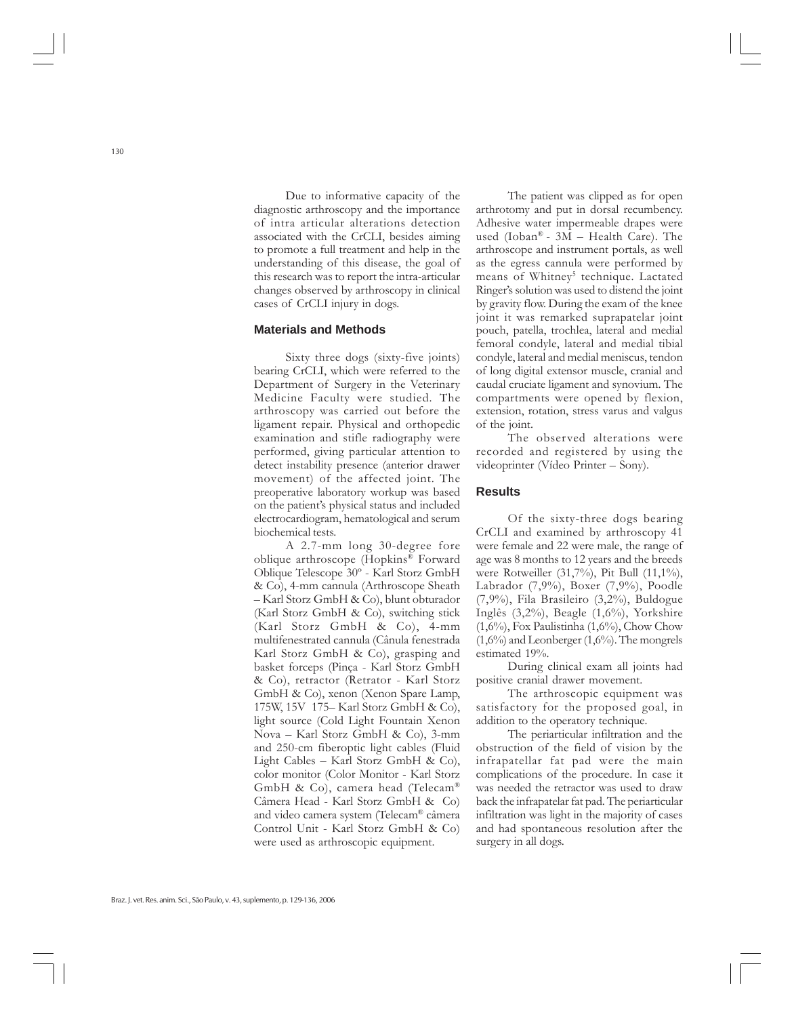Due to informative capacity of the diagnostic arthroscopy and the importance of intra articular alterations detection associated with the CrCLI, besides aiming to promote a full treatment and help in the understanding of this disease, the goal of this research was to report the intra-articular changes observed by arthroscopy in clinical cases of CrCLI injury in dogs.

### **Materials and Methods**

Sixty three dogs (sixty-five joints) bearing CrCLI, which were referred to the Department of Surgery in the Veterinary Medicine Faculty were studied. The arthroscopy was carried out before the ligament repair. Physical and orthopedic examination and stifle radiography were performed, giving particular attention to detect instability presence (anterior drawer movement) of the affected joint. The preoperative laboratory workup was based on the patient's physical status and included electrocardiogram, hematological and serum biochemical tests.

A 2.7-mm long 30-degree fore oblique arthroscope (Hopkins® Forward Oblique Telescope 30º - Karl Storz GmbH & Co), 4-mm cannula (Arthroscope Sheath – Karl Storz GmbH & Co), blunt obturador (Karl Storz GmbH & Co), switching stick (Karl Storz GmbH & Co), 4-mm multifenestrated cannula (Cânula fenestrada Karl Storz GmbH & Co), grasping and basket forceps (Pinça - Karl Storz GmbH & Co), retractor (Retrator - Karl Storz GmbH & Co), xenon (Xenon Spare Lamp, 175W, 15V 175– Karl Storz GmbH & Co), light source (Cold Light Fountain Xenon Nova – Karl Storz GmbH & Co), 3-mm and 250-cm fiberoptic light cables (Fluid Light Cables – Karl Storz GmbH & Co), color monitor (Color Monitor - Karl Storz GmbH & Co), camera head (Telecam® Câmera Head - Karl Storz GmbH & Co) and video camera system (Telecam® câmera Control Unit - Karl Storz GmbH & Co) were used as arthroscopic equipment.

The patient was clipped as for open arthrotomy and put in dorsal recumbency. Adhesive water impermeable drapes were used (Ioban® -  $3\overline{M}$  – Health Care). The arthroscope and instrument portals, as well as the egress cannula were performed by means of Whitney<sup>5</sup> technique. Lactated Ringer's solution was used to distend the joint by gravity flow. During the exam of the knee joint it was remarked suprapatelar joint pouch, patella, trochlea, lateral and medial femoral condyle, lateral and medial tibial condyle, lateral and medial meniscus, tendon of long digital extensor muscle, cranial and caudal cruciate ligament and synovium. The compartments were opened by flexion, extension, rotation, stress varus and valgus of the joint.

The observed alterations were recorded and registered by using the videoprinter (Vídeo Printer – Sony).

### **Results**

Of the sixty-three dogs bearing CrCLI and examined by arthroscopy 41 were female and 22 were male, the range of age was 8 months to 12 years and the breeds were Rotweiller (31,7%), Pit Bull (11,1%), Labrador (7,9%), Boxer (7,9%), Poodle (7,9%), Fila Brasileiro (3,2%), Buldogue Inglês (3,2%), Beagle (1,6%), Yorkshire  $(1,6\%)$ , Fox Paulistinha  $(1,6\%)$ , Chow Chow  $(1,6\%)$  and Leonberger  $(1,6\%)$ . The mongrels estimated 19%.

During clinical exam all joints had positive cranial drawer movement.

The arthroscopic equipment was satisfactory for the proposed goal, in addition to the operatory technique.

The periarticular infiltration and the obstruction of the field of vision by the infrapatellar fat pad were the main complications of the procedure. In case it was needed the retractor was used to draw back the infrapatelar fat pad. The periarticular infiltration was light in the majority of cases and had spontaneous resolution after the surgery in all dogs.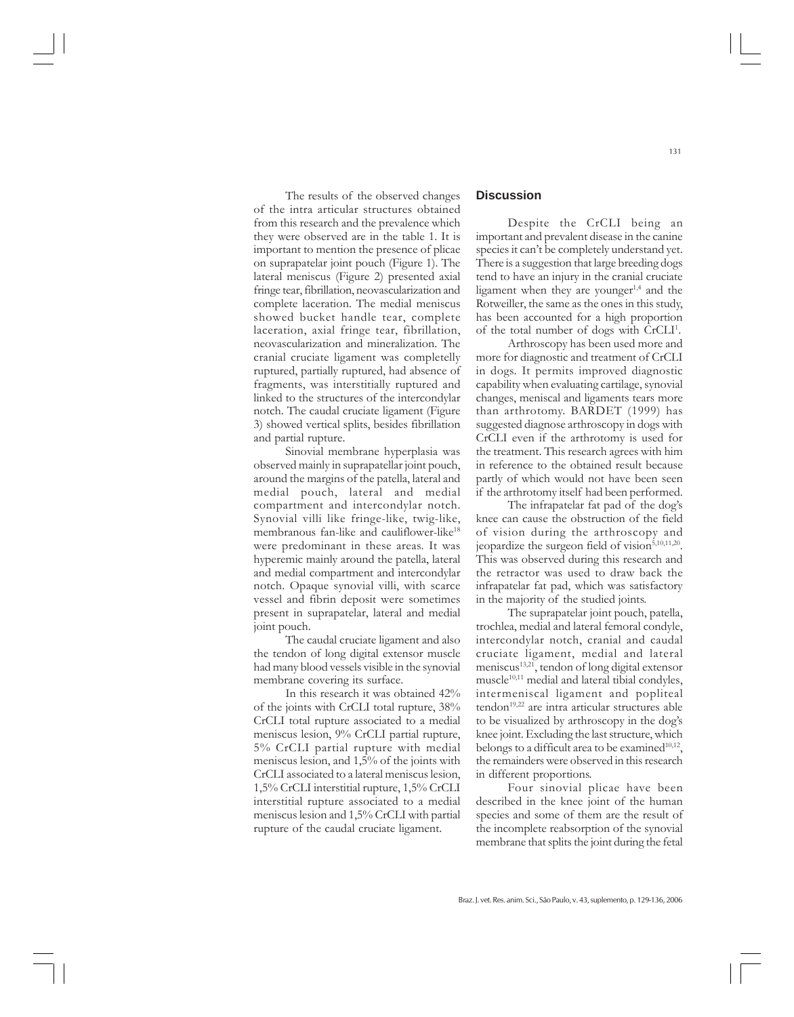The results of the observed changes of the intra articular structures obtained from this research and the prevalence which they were observed are in the table 1. It is important to mention the presence of plicae on suprapatelar joint pouch (Figure 1). The lateral meniscus (Figure 2) presented axial fringe tear, fibrillation, neovascularization and complete laceration. The medial meniscus showed bucket handle tear, complete laceration, axial fringe tear, fibrillation, neovascularization and mineralization. The cranial cruciate ligament was completelly ruptured, partially ruptured, had absence of fragments, was interstitially ruptured and linked to the structures of the intercondylar notch. The caudal cruciate ligament (Figure 3) showed vertical splits, besides fibrillation and partial rupture.

Sinovial membrane hyperplasia was observed mainly in suprapatellar joint pouch, around the margins of the patella, lateral and medial pouch, lateral and medial compartment and intercondylar notch. Synovial villi like fringe-like, twig-like, membranous fan-like and cauliflower-like<sup>18</sup> were predominant in these areas. It was hyperemic mainly around the patella, lateral and medial compartment and intercondylar notch. Opaque synovial villi, with scarce vessel and fibrin deposit were sometimes present in suprapatelar, lateral and medial joint pouch.

The caudal cruciate ligament and also the tendon of long digital extensor muscle had many blood vessels visible in the synovial membrane covering its surface.

In this research it was obtained 42% of the joints with CrCLI total rupture, 38% CrCLI total rupture associated to a medial meniscus lesion, 9% CrCLI partial rupture, 5% CrCLI partial rupture with medial meniscus lesion, and 1,5% of the joints with CrCLI associated to a lateral meniscus lesion, 1,5% CrCLI interstitial rupture, 1,5% CrCLI interstitial rupture associated to a medial meniscus lesion and 1,5% CrCLI with partial rupture of the caudal cruciate ligament.

## **Discussion**

Despite the CrCLI being an important and prevalent disease in the canine species it can't be completely understand yet. There is a suggestion that large breeding dogs tend to have an injury in the cranial cruciate ligament when they are younger<sup>1,4</sup> and the Rotweiller, the same as the ones in this study, has been accounted for a high proportion of the total number of dogs with CrCLI<sup>1</sup>.

Arthroscopy has been used more and more for diagnostic and treatment of CrCLI in dogs. It permits improved diagnostic capability when evaluating cartilage, synovial changes, meniscal and ligaments tears more than arthrotomy. BARDET (1999) has suggested diagnose arthroscopy in dogs with CrCLI even if the arthrotomy is used for the treatment. This research agrees with him in reference to the obtained result because partly of which would not have been seen if the arthrotomy itself had been performed.

The infrapatelar fat pad of the dog's knee can cause the obstruction of the field of vision during the arthroscopy and jeopardize the surgeon field of vision<sup>5,10,11,20</sup>. This was observed during this research and the retractor was used to draw back the infrapatelar fat pad, which was satisfactory in the majority of the studied joints.

The suprapatelar joint pouch, patella, trochlea, medial and lateral femoral condyle, intercondylar notch, cranial and caudal cruciate ligament, medial and lateral meniscus<sup>13,21</sup>, tendon of long digital extensor  $muscle<sup>10,11</sup>$  medial and lateral tibial condyles, intermeniscal ligament and popliteal tendon<sup>19,22</sup> are intra articular structures able to be visualized by arthroscopy in the dog's knee joint. Excluding the last structure, which belongs to a difficult area to be examined $10,12$ , the remainders were observed in this research in different proportions.

Four sinovial plicae have been described in the knee joint of the human species and some of them are the result of the incomplete reabsorption of the synovial membrane that splits the joint during the fetal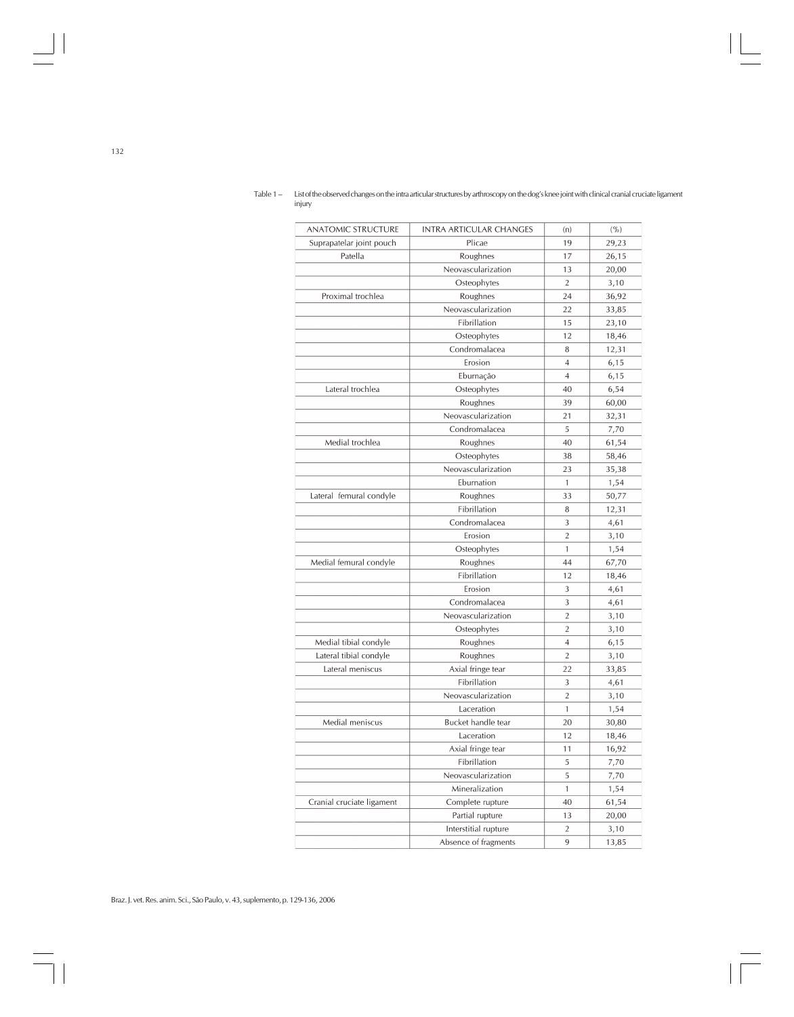| <b>ANATOMIC STRUCTURE</b> | <b>INTRA ARTICULAR CHANGES</b> | (n)            | ( %)  |
|---------------------------|--------------------------------|----------------|-------|
| Suprapatelar joint pouch  | Plicae                         | 19             | 29,23 |
| Patella                   | Roughnes                       | 17             | 26,15 |
|                           | Neovascularization             | 13             | 20,00 |
|                           | Osteophytes                    | $\overline{2}$ | 3,10  |
| Proximal trochlea         | Roughnes                       | 24             | 36,92 |
|                           | Neovascularization             | 22             | 33,85 |
|                           | Fibrillation                   | 15             | 23,10 |
|                           | Osteophytes                    | 12             | 18,46 |
|                           | Condromalacea                  | 8              | 12,31 |
|                           | Erosion                        | $\overline{4}$ | 6,15  |
|                           | Eburnação                      | 4              | 6, 15 |
| Lateral trochlea          | Osteophytes                    | 40             | 6,54  |
|                           | Roughnes                       | 39             | 60,00 |
|                           | Neovascularization             | 21             | 32,31 |
|                           | Condromalacea                  | 5              | 7,70  |
| Medial trochlea           | Roughnes                       | 40             | 61,54 |
|                           | Osteophytes                    | 38             | 58,46 |
|                           | Neovascularization             | 23             | 35,38 |
|                           | Eburnation                     | $\mathbf{1}$   | 1,54  |
| Lateral femural condyle   | Roughnes                       | 33             | 50,77 |
|                           | Fibrillation                   | 8              | 12,31 |
|                           | Condromalacea                  | 3              | 4,61  |
|                           | Erosion                        | $\overline{2}$ | 3,10  |
|                           | Osteophytes                    | $\mathbf{1}$   | 1,54  |
| Medial femural condyle    | Roughnes                       | 44             | 67,70 |
|                           | Fibrillation                   | 12             | 18,46 |
|                           | Erosion                        | 3              | 4,61  |
|                           | Condromalacea                  | 3              | 4,61  |
|                           | Neovascularization             | $\overline{2}$ | 3,10  |
|                           | Osteophytes                    | $\overline{2}$ | 3,10  |
| Medial tibial condyle     | Roughnes                       | $\overline{4}$ | 6,15  |
| Lateral tibial condyle    | Roughnes                       | $\overline{2}$ | 3,10  |
| Lateral meniscus          | Axial fringe tear              | 22             | 33,85 |
|                           | Fibrillation                   | 3              | 4,61  |
|                           | Neovascularization             | $\overline{2}$ | 3,10  |
|                           | Laceration                     | 1              | 1,54  |
| Medial meniscus           | Bucket handle tear             | 20             | 30,80 |
|                           | Laceration                     | 12             | 18,46 |
|                           | Axial fringe tear              | 11             | 16,92 |
|                           | Fibrillation                   | 5              | 7,70  |
|                           | Neovascularization             | 5              | 7,70  |
|                           | Mineralization                 | 1              | 1,54  |
| Cranial cruciate ligament | Complete rupture               | 40             | 61,54 |
|                           | Partial rupture                | 13             | 20,00 |
|                           | Interstitial rupture           | $\overline{2}$ | 3,10  |
|                           | Absence of fragments           | 9              | 13,85 |

Table 1 – List of the observed changes on the intra articular structures by arthroscopy on the dog's knee joint with clinical cranial cruciate ligament injury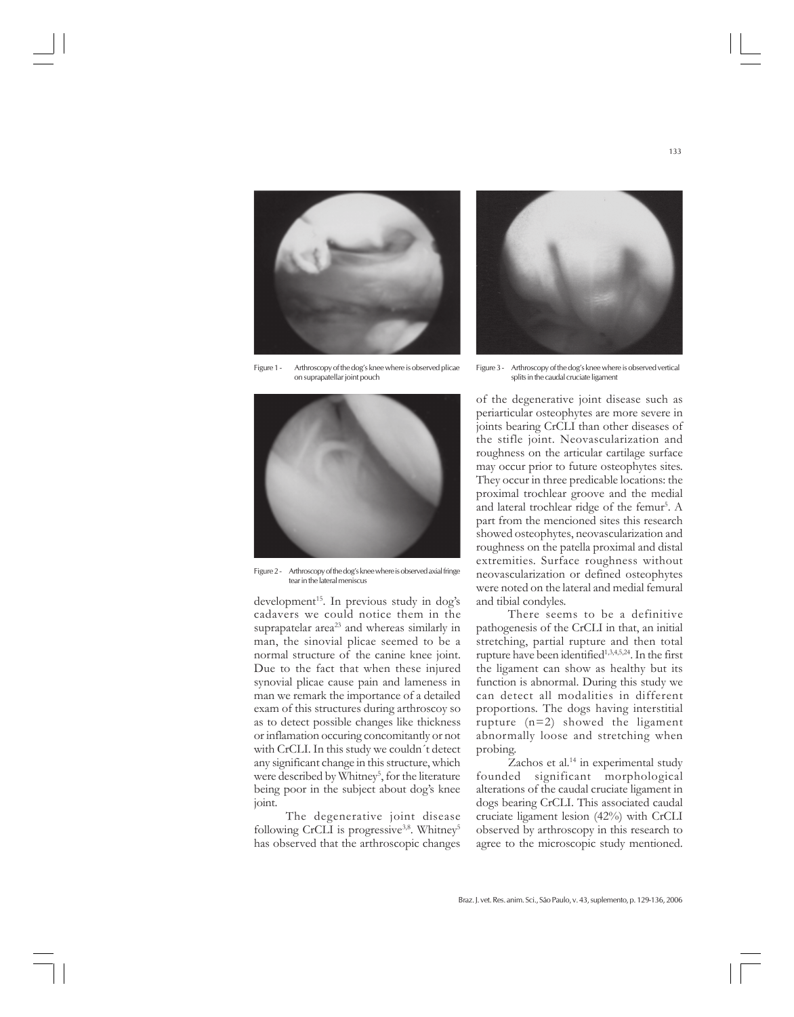

Figure 1 - Arthroscopy of the dog's knee where is observed plicae on suprapatellar joint pouch



Figure 2 - Arthroscopy of the dog's knee where is observed axial fringe tear in the lateral meniscus

 $development^{15}$ . In previous study in dog's cadavers we could notice them in the suprapatelar area $23$  and whereas similarly in man, the sinovial plicae seemed to be a normal structure of the canine knee joint. Due to the fact that when these injured synovial plicae cause pain and lameness in man we remark the importance of a detailed exam of this structures during arthroscoy so as to detect possible changes like thickness or inflamation occuring concomitantly or not with CrCLI. In this study we couldn´t detect any significant change in this structure, which were described by Whitney<sup>5</sup>, for the literature being poor in the subject about dog's knee joint.

The degenerative joint disease following CrCLI is progressive<sup>3,8</sup>. Whitney<sup>5</sup> has observed that the arthroscopic changes



Figure 3 - Arthroscopy of the dog's knee where is observed vertical splits in the caudal cruciate ligament

of the degenerative joint disease such as periarticular osteophytes are more severe in joints bearing CrCLI than other diseases of the stifle joint. Neovascularization and roughness on the articular cartilage surface may occur prior to future osteophytes sites. They occur in three predicable locations: the proximal trochlear groove and the medial and lateral trochlear ridge of the femur<sup>5</sup>. A part from the mencioned sites this research showed osteophytes, neovascularization and roughness on the patella proximal and distal extremities. Surface roughness without neovascularization or defined osteophytes were noted on the lateral and medial femural and tibial condyles.

There seems to be a definitive pathogenesis of the CrCLI in that, an initial stretching, partial rupture and then total rupture have been identified<sup>1,3,4,5,24</sup>. In the first the ligament can show as healthy but its function is abnormal. During this study we can detect all modalities in different proportions. The dogs having interstitial rupture  $(n=2)$  showed the ligament abnormally loose and stretching when probing.

Zachos et al.<sup>14</sup> in experimental study founded significant morphological alterations of the caudal cruciate ligament in dogs bearing CrCLI. This associated caudal cruciate ligament lesion (42%) with CrCLI observed by arthroscopy in this research to agree to the microscopic study mentioned.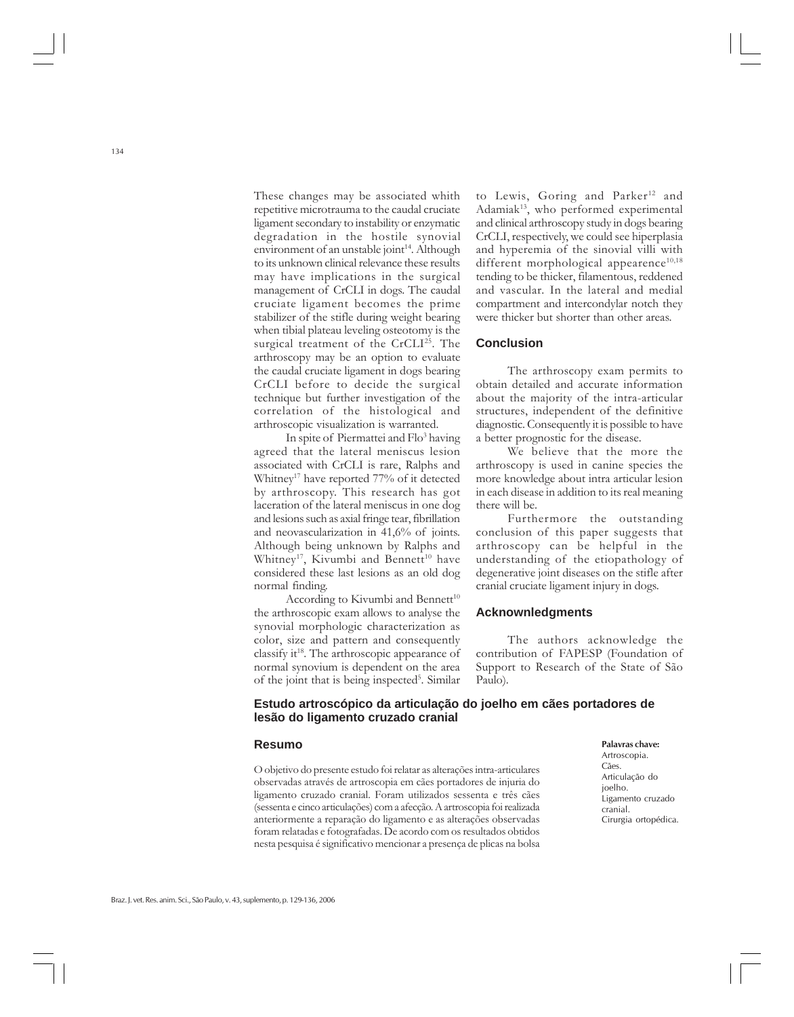These changes may be associated whith repetitive microtrauma to the caudal cruciate ligament secondary to instability or enzymatic degradation in the hostile synovial environment of an unstable joint<sup>14</sup>. Although to its unknown clinical relevance these results may have implications in the surgical management of CrCLI in dogs. The caudal cruciate ligament becomes the prime stabilizer of the stifle during weight bearing when tibial plateau leveling osteotomy is the surgical treatment of the CrCLI<sup>25</sup>. The arthroscopy may be an option to evaluate the caudal cruciate ligament in dogs bearing CrCLI before to decide the surgical technique but further investigation of the correlation of the histological and arthroscopic visualization is warranted.

In spite of Piermattei and Flo<sup>3</sup> having agreed that the lateral meniscus lesion associated with CrCLI is rare, Ralphs and Whitney<sup>17</sup> have reported 77% of it detected by arthroscopy. This research has got laceration of the lateral meniscus in one dog and lesions such as axial fringe tear, fibrillation and neovascularization in 41,6% of joints. Although being unknown by Ralphs and Whitney<sup>17</sup>, Kivumbi and Bennett<sup>10</sup> have considered these last lesions as an old dog normal finding.

According to Kivumbi and Bennett $10$ the arthroscopic exam allows to analyse the synovial morphologic characterization as color, size and pattern and consequently classify it<sup>18</sup>. The arthroscopic appearance of normal synovium is dependent on the area of the joint that is being inspected<sup>5</sup>. Similar

to Lewis, Goring and Parker<sup>12</sup> and Adamiak $13$ , who performed experimental and clinical arthroscopy study in dogs bearing CrCLI, respectively, we could see hiperplasia and hyperemia of the sinovial villi with different morphological appearence<sup>10,18</sup> tending to be thicker, filamentous, reddened and vascular. In the lateral and medial compartment and intercondylar notch they were thicker but shorter than other areas.

### **Conclusion**

The arthroscopy exam permits to obtain detailed and accurate information about the majority of the intra-articular structures, independent of the definitive diagnostic. Consequently it is possible to have a better prognostic for the disease.

We believe that the more the arthroscopy is used in canine species the more knowledge about intra articular lesion in each disease in addition to its real meaning there will be.

Furthermore the outstanding conclusion of this paper suggests that arthroscopy can be helpful in the understanding of the etiopathology of degenerative joint diseases on the stifle after cranial cruciate ligament injury in dogs.

### **Acknownledgments**

The authors acknowledge the contribution of FAPESP (Foundation of Support to Research of the State of São Paulo).

### **Estudo artroscópico da articulação do joelho em cães portadores de lesão do ligamento cruzado cranial**

#### **Resumo**

O objetivo do presente estudo foi relatar as alterações intra-articulares observadas através de artroscopia em cães portadores de injuria do ligamento cruzado cranial. Foram utilizados sessenta e três cães (sessenta e cinco articulações) com a afecção. A artroscopia foi realizada anteriormente a reparação do ligamento e as alterações observadas foram relatadas e fotografadas. De acordo com os resultados obtidos nesta pesquisa é significativo mencionar a presença de plicas na bolsa **Palavras chave:** Artroscopia. Cães. Articulação do joelho. Ligamento cruzado cranial. Cirurgia ortopédica.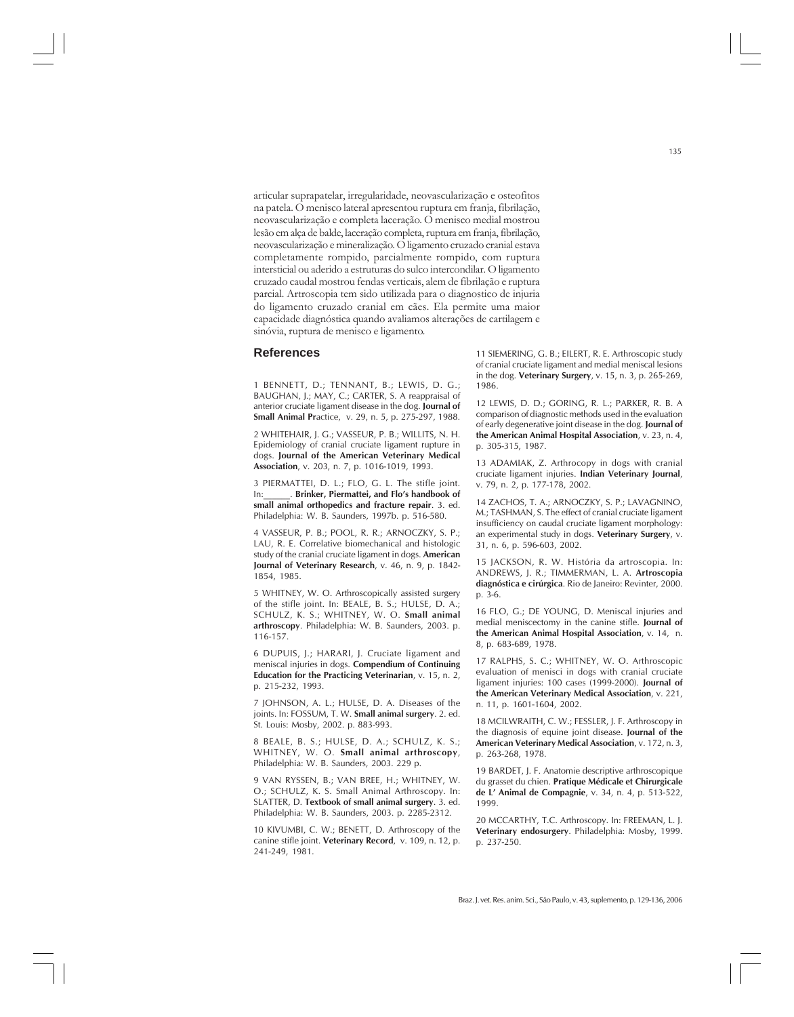articular suprapatelar, irregularidade, neovascularização e osteofitos na patela. O menisco lateral apresentou ruptura em franja, fibrilação, neovascularização e completa laceração. O menisco medial mostrou lesão em alça de balde, laceração completa, ruptura em franja, fibrilação, neovascularização e mineralização. O ligamento cruzado cranial estava completamente rompido, parcialmente rompido, com ruptura intersticial ou aderido a estruturas do sulco intercondilar. O ligamento cruzado caudal mostrou fendas verticais, alem de fibrilação e ruptura parcial. Artroscopia tem sido utilizada para o diagnostico de injuria do ligamento cruzado cranial em cães. Ela permite uma maior capacidade diagnóstica quando avaliamos alterações de cartilagem e sinóvia, ruptura de menisco e ligamento.

#### **References**

1 BENNETT, D.; TENNANT, B.; LEWIS, D. G.; BAUGHAN, J.; MAY, C.; CARTER, S. A reappraisal of anterior cruciate ligament disease in the dog. **Journal of Small Animal Pr**actice, v. 29, n. 5, p. 275-297, 1988.

2 WHITEHAIR, J. G.; VASSEUR, P. B.; WILLITS, N. H. Epidemiology of cranial cruciate ligament rupture in dogs. **Journal of the American Veterinary Medical Association**, v. 203, n. 7, p. 1016-1019, 1993.

3 PIERMATTEI, D. L.; FLO, G. L. The stifle joint. In:\_\_\_\_\_\_. **Brinker, Piermattei, and Flo's handbook of small animal orthopedics and fracture repair**. 3. ed. Philadelphia: W. B. Saunders, 1997b. p. 516-580.

4 VASSEUR, P. B.; POOL, R. R.; ARNOCZKY, S. P.; LAU, R. E. Correlative biomechanical and histologic study of the cranial cruciate ligament in dogs. **American Journal of Veterinary Research**, v. 46, n. 9, p. 1842- 1854, 1985.

5 WHITNEY, W. O. Arthroscopically assisted surgery of the stifle joint. In: BEALE, B. S.; HULSE, D. A.; SCHULZ, K. S.; WHITNEY, W. O. **Small animal arthroscopy**. Philadelphia: W. B. Saunders, 2003. p. 116-157.

6 DUPUIS, J.; HARARI, J. Cruciate ligament and meniscal injuries in dogs. **Compendium of Continuing Education for the Practicing Veterinarian**, v. 15, n. 2, p. 215-232, 1993.

7 JOHNSON, A. L.; HULSE, D. A. Diseases of the joints. In: FOSSUM, T. W. **Small animal surgery**. 2. ed. St. Louis: Mosby, 2002. p. 883-993.

8 BEALE, B. S.; HULSE, D. A.; SCHULZ, K. S.; WHITNEY, W. O. **Small animal arthroscopy**, Philadelphia: W. B. Saunders, 2003. 229 p.

9 VAN RYSSEN, B.; VAN BREE, H.; WHITNEY, W. O.; SCHULZ, K. S. Small Animal Arthroscopy. In: SLATTER, D. **Textbook of small animal surgery**. 3. ed. Philadelphia: W. B. Saunders, 2003. p. 2285-2312.

10 KIVUMBI, C. W.; BENETT, D. Arthroscopy of the canine stifle joint. **Veterinary Record**, v. 109, n. 12, p. 241-249, 1981.

11 SIEMERING, G. B.; EILERT, R. E. Arthroscopic study of cranial cruciate ligament and medial meniscal lesions in the dog. **Veterinary Surgery**, v. 15, n. 3, p. 265-269, 1986.

12 LEWIS, D. D.; GORING, R. L.; PARKER, R. B. A comparison of diagnostic methods used in the evaluation of early degenerative joint disease in the dog. **Journal of the American Animal Hospital Association**, v. 23, n. 4, p. 305-315, 1987.

13 ADAMIAK, Z. Arthrocopy in dogs with cranial cruciate ligament injuries. **Indian Veterinary Journal**, v. 79, n. 2, p. 177-178, 2002.

14 ZACHOS, T. A.; ARNOCZKY, S. P.; LAVAGNINO, M.; TASHMAN, S. The effect of cranial cruciate ligament insufficiency on caudal cruciate ligament morphology: an experimental study in dogs. **Veterinary Surgery**, v. 31, n. 6, p. 596-603, 2002.

15 JACKSON, R. W. História da artroscopia. In: ANDREWS, J. R.; TIMMERMAN, L. A. **Artroscopia diagnóstica e cirúrgica**. Rio de Janeiro: Revinter, 2000. p. 3-6.

16 FLO, G.; DE YOUNG, D. Meniscal injuries and medial meniscectomy in the canine stifle. **Journal of the American Animal Hospital Association**, v. 14, n. 8, p. 683-689, 1978.

17 RALPHS, S. C.; WHITNEY, W. O. Arthroscopic evaluation of menisci in dogs with cranial cruciate ligament injuries: 100 cases (1999-2000). **Journal of the American Veterinary Medical Association**, v. 221, n. 11, p. 1601-1604, 2002.

18 MCILWRAITH, C. W.; FESSLER, J. F. Arthroscopy in the diagnosis of equine joint disease. **Journal of the American Veterinary Medical Association**, v. 172, n. 3, p. 263-268, 1978.

19 BARDET, J. F. Anatomie descriptive arthroscopique du grasset du chien. **Pratique Médicale et Chirurgicale de L' Animal de Compagnie**, v. 34, n. 4, p. 513-522, 1999.

20 MCCARTHY, T.C. Arthroscopy. In: FREEMAN, L. J. **Veterinary endosurgery**. Philadelphia: Mosby, 1999. p. 237-250.